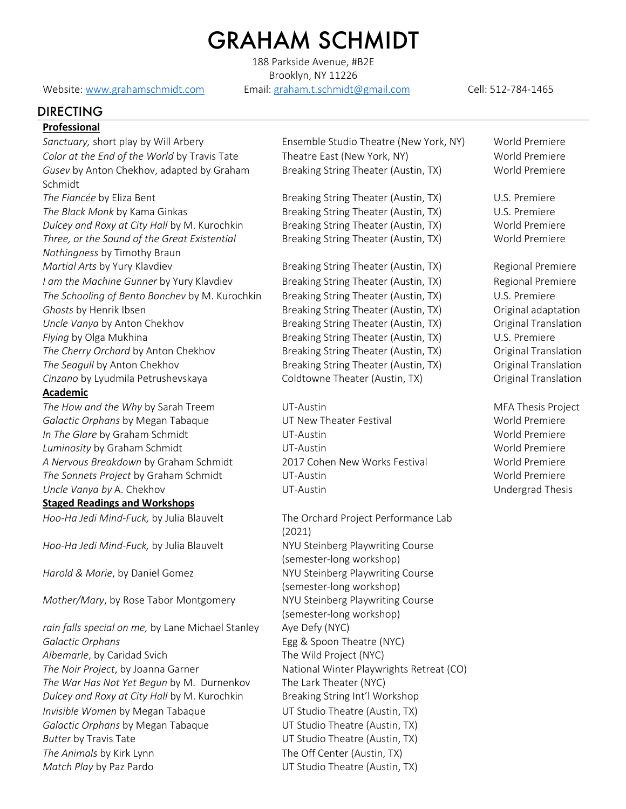## GRAHAM SCHMIDT

188 Parkside Avenue, #B2E Brooklyn, NY 11226

Website: www.grahamschmidt.com Email: graham.t.schmidt@gmail.com Cell: 512-784-1465

## DIRECTING

#### **Professional**

Sanctuary, short play by Will Arbery **Ensemble Studio Theatre (New York, NY)** World Premiere *Color at the End of the World* by Travis Tate Theatre East (New York, NY) World Premiere *Gusev* by Anton Chekhov, adapted by Graham Schmidt **The Fiancée by Eliza Bent Community Community Breaking String Theater (Austin, TX)** U.S. Premiere *The Black Monk* by Kama Ginkas **Breaking String Theater (Austin, TX)** U.S. Premiere *Dulcey and Roxy at City Hall* by M. Kurochkin Breaking String Theater (Austin, TX) World Premiere *Three, or the Sound of the Great Existential Nothingness* by Timothy Braun *Martial Arts* by Yury Klavdiev **Breaking String Theater (Austin, TX)** Regional Premiere *I am the Machine Gunner* by Yury Klavdiev **Breaking String Theater (Austin, TX)** Regional Premiere *The Schooling of Bento Bonchev* by M. Kurochkin Breaking String Theater (Austin, TX) U.S. Premiere *Ghosts* by Henrik Ibsen **Breaking String Theater (Austin, TX)** Original adaptation *Uncle Vanya* by Anton Chekhov **Breaking String Theater (Austin, TX)** Original Translation *Flying* by Olga Mukhina **Breaking String Theater (Austin, TX)** U.S. Premiere The Cherry Orchard by Anton Chekhov **Breaking String Theater (Austin, TX)** Original Translation *The Seagull* by Anton Chekhov **Breaking String Theater (Austin, TX)** Original Translation Cinzano by Lyudmila Petrushevskaya **Coldtowne Theater (Austin, TX)** Original Translation

#### **Academic**

*The How and the Why* by Sarah Treem UT-Austin UT-Austin MFA Thesis Project *Galactic Orphans* by Megan Tabaque **Van UT New Theater Festival World Premiere** World Premiere *In The Glare* by Graham Schmidt **VI-Austin** UT-Austin World Premiere *Luminosity* by Graham Schmidt UT-Austin World Premiere *A Nervous Breakdown* by Graham Schmidt 2017 Cohen New Works Festival World Premiere *The Sonnets Project* by Graham Schmidt UT-Austin World Premiere *Uncle Vanya by* A. Chekhov UT-Austin Undergrad Thesis

#### **Staged Readings and Workshops**

*Hoo-Ha Jedi Mind-Fuck,* by Julia Blauvelt NYU Steinberg Playwriting Course

*Mother/Mary*, by Rose Tabor Montgomery NYU Steinberg Playwriting Course

rain falls special on me, by Lane Michael Stanley Aye Defy (NYC) *Galactic Orphans* Egg & Spoon Theatre (NYC) *Albemarle*, by Caridad Svich The Wild Project (NYC) *The Noir Project*, by Joanna Garner **National Winter Playwrights Retreat (CO)** *The War Has Not Yet Begun* by M. Durnenkov The Lark Theater (NYC) *Dulcey and Roxy at City Hall by M. Kurochkin* Breaking String Int'l Workshop *Invisible Women by Megan Tabaque* **UT Studio Theatre (Austin, TX)** *Galactic Orphans* by Megan Tabaque UT Studio Theatre (Austin, TX) *Butter* by Travis Tate **Australian Control** UT Studio Theatre (Austin, TX) *The Animals* by Kirk Lynn The Off Center (Austin, TX) *Match Play* by Paz Pardo **Exercise 2018** UT Studio Theatre (Austin, TX)

Breaking String Theater (Austin, TX) World Premiere

Breaking String Theater (Austin, TX) World Premiere

*Hoo-Ha Jedi Mind-Fuck,* by Julia Blauvelt The Orchard Project Performance Lab (2021) (semester-long workshop) *Harold & Marie*, by Daniel Gomez NYU Steinberg Playwriting Course (semester-long workshop) (semester-long workshop)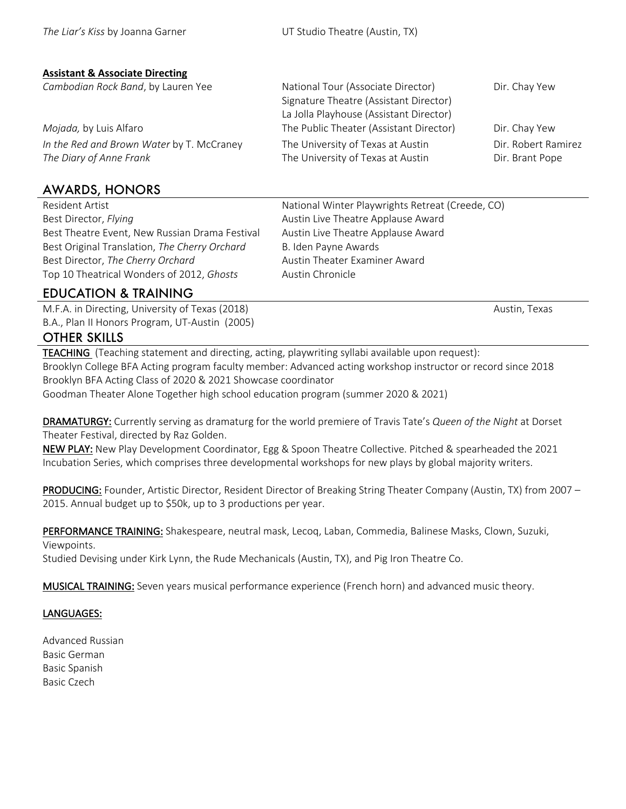#### **Assistant & Associate Directing**

| Cambodian Rock Band, by Lauren Yee                                   | National Tour (Associate Director)<br>Signature Theatre (Assistant Director) | Dir. Chay Yew                          |
|----------------------------------------------------------------------|------------------------------------------------------------------------------|----------------------------------------|
|                                                                      | La Jolla Playhouse (Assistant Director)                                      |                                        |
| Mojada, by Luis Alfaro                                               | The Public Theater (Assistant Director)                                      | Dir. Chay Yew                          |
| In the Red and Brown Water by T. McCraney<br>The Diary of Anne Frank | The University of Texas at Austin<br>The University of Texas at Austin       | Dir. Robert Ramirez<br>Dir. Brant Pope |

## AWARDS, HONORS

Resident Artist Best Director, *Flying* Best Theatre Event, New Russian Drama Festival Austin Live Theatre Applause Award Best Original Translation, *The Cherry Orchard* B. Iden Payne Awards Best Director, *The Cherry Orchard* Austin Theater Examiner Award Top 10 Theatrical Wonders of 2012, *Ghosts* Austin Chronicle

National Winter Playwrights Retreat (Creede, CO) Austin Live Theatre Applause Award

## EDUCATION & TRAINING

M.F.A. in Directing, University of Texas (2018) Austin, Texas (2018) B.A., Plan II Honors Program, UT-Austin (2005)

## OTHER SKILLS

TEACHING (Teaching statement and directing, acting, playwriting syllabi available upon request): Brooklyn College BFA Acting program faculty member: Advanced acting workshop instructor or record since 2018 Brooklyn BFA Acting Class of 2020 & 2021 Showcase coordinator Goodman Theater Alone Together high school education program (summer 2020 & 2021)

DRAMATURGY: Currently serving as dramaturg for the world premiere of Travis Tate's *Queen of the Night* at Dorset Theater Festival, directed by Raz Golden.

NEW PLAY: New Play Development Coordinator, Egg & Spoon Theatre Collective. Pitched & spearheaded the 2021 Incubation Series, which comprises three developmental workshops for new plays by global majority writers.

PRODUCING: Founder, Artistic Director, Resident Director of Breaking String Theater Company (Austin, TX) from 2007 – 2015. Annual budget up to \$50k, up to 3 productions per year.

PERFORMANCE TRAINING: Shakespeare, neutral mask, Lecoq, Laban, Commedia, Balinese Masks, Clown, Suzuki, Viewpoints.

Studied Devising under Kirk Lynn, the Rude Mechanicals (Austin, TX), and Pig Iron Theatre Co.

MUSICAL TRAINING: Seven years musical performance experience (French horn) and advanced music theory.

### LANGUAGES:

Advanced Russian Basic German Basic Spanish Basic Czech